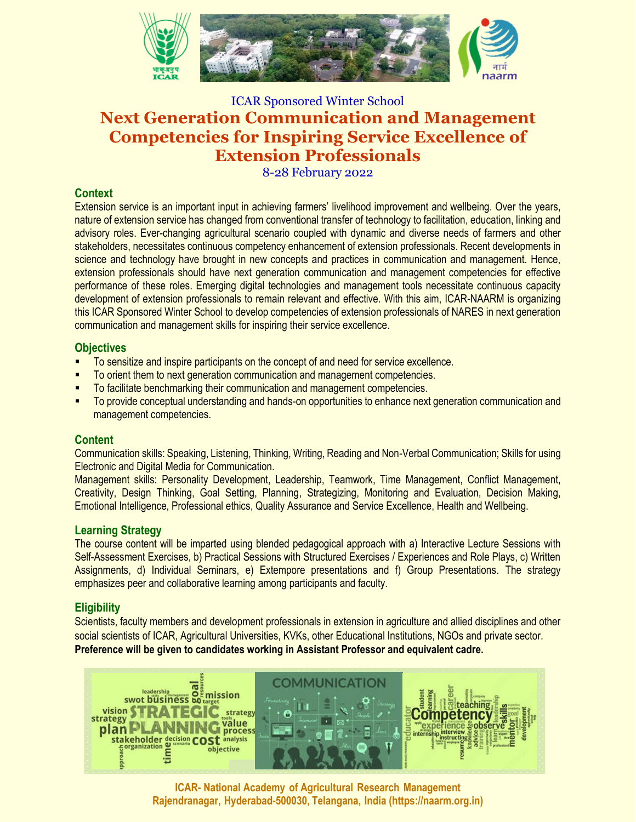

# ICAR Sponsored Winter School **Next Generation Communication and Management Competencies for Inspiring Service Excellence of Extension Professionals**

8-28 February 2022

# **Context**

Extension service is an important input in achieving farmers' livelihood improvement and wellbeing. Over the years, nature of extension service has changed from conventional transfer of technology to facilitation, education, linking and advisory roles. Ever-changing agricultural scenario coupled with dynamic and diverse needs of farmers and other stakeholders, necessitates continuous competency enhancement of extension professionals. Recent developments in science and technology have brought in new concepts and practices in communication and management. Hence, extension professionals should have next generation communication and management competencies for effective performance of these roles. Emerging digital technologies and management tools necessitate continuous capacity development of extension professionals to remain relevant and effective. With this aim, ICAR-NAARM is organizing this ICAR Sponsored Winter School to develop competencies of extension professionals of NARES in next generation communication and management skills for inspiring their service excellence.

# **Objectives**

- To sensitize and inspire participants on the concept of and need for service excellence.
- To orient them to next generation communication and management competencies.
- To facilitate benchmarking their communication and management competencies.
- To provide conceptual understanding and hands-on opportunities to enhance next generation communication and management competencies.

# **Content**

Communication skills: Speaking, Listening, Thinking, Writing, Reading and Non-Verbal Communication; Skills for using Electronic and Digital Media for Communication.

Management skills: Personality Development, Leadership, Teamwork, Time Management, Conflict Management, Creativity, Design Thinking, Goal Setting, Planning, Strategizing, Monitoring and Evaluation, Decision Making, Emotional Intelligence, Professional ethics, Quality Assurance and Service Excellence, Health and Wellbeing.

# **Learning Strategy**

The course content will be imparted using blended pedagogical approach with a) Interactive Lecture Sessions with Self-Assessment Exercises, b) Practical Sessions with Structured Exercises / Experiences and Role Plays, c) Written Assignments, d) Individual Seminars, e) Extempore presentations and f) Group Presentations. The strategy emphasizes peer and collaborative learning among participants and faculty.

# **Eligibility**

Scientists, faculty members and development professionals in extension in agriculture and allied disciplines and other social scientists of ICAR, Agricultural Universities, KVKs, other Educational Institutions, NGOs and private sector. **Preference will be given to candidates working in Assistant Professor and equivalent cadre.**



**ICAR- National Academy of Agricultural Research Management Rajendranagar, Hyderabad-500030, Telangana, India (https://naarm.org.in)**